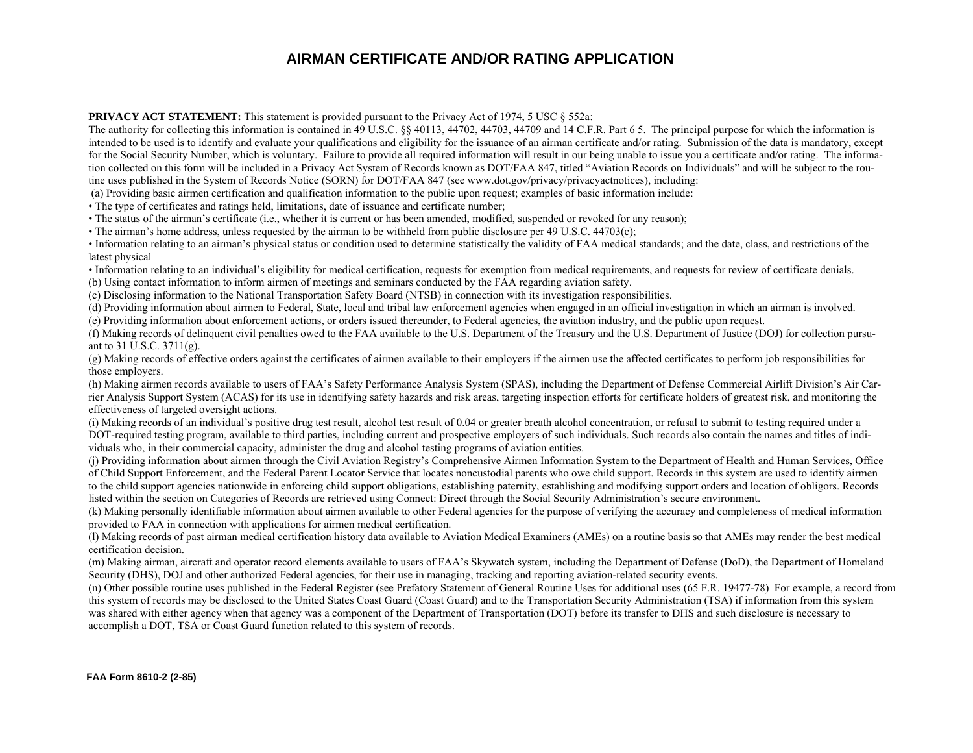## **AIRMAN CERTIFICATE AND/OR RATING APPLICATION**

**PRIVACY ACT STATEMENT:** This statement is provided pursuant to the Privacy Act of 1974, 5 USC  $\frac{8552a}{ }$ 

The authority for collecting this information is contained in 49 U.S.C.  $\&$  40113, 44702, 44703, 44709 and 14 C.F.R. Part 6 5. The principal purpose for which the information is intended to be used is to identify and evaluate your qualifications and eligibility for the issuance of an airman certificate and/or rating. Submission of the data is mandatory, except for the Social Security Number, which is voluntary. Failure to provide all required information will result in our being unable to issue you a certificate and/or rating. The information collected on this form will be included in a Privacy Act System of Records known as DOT/FAA 847, titled "Aviation Records on Individuals" and will be subject to the routine uses published in the System of Records Notice (SORN) for DOT/FAA 847 (see www.dot.gov/privacy/privacyactnotices), including:

(a) Providing basic airmen certification and qualification information to the public upon request; examples of basic information include:

• The type of certificates and ratings held, limitations, date of issuance and certificate number;

• The status of the airman's certificate (i.e., whether it is current or has been amended, modified, suspended or revoked for any reason);

• The airman's home address, unless requested by the airman to be withheld from public disclosure per 49 U.S.C. 44703(c);

• Information relating to an airman's physical status or condition used to determine statistically the validity of FAA medical standards; and the date, class, and restrictions of the latest physical

• Information relating to an individual's eligibility for medical certification, requests for exemption from medical requirements, and requests for review of certificate denials.

(b) Using contact information to inform airmen of meetings and seminars conducted by the FAA regarding aviation safety.

(c) Disclosing information to the National Transportation Safety Board (NTSB) in connection with its investigation responsibilities.

(d) Providing information about airmen to Federal, State, local and tribal law enforcement agencies when engaged in an official investigation in which an airman is involved.

(e) Providing information about enforcement actions, or orders issued thereunder, to Federal agencies, the aviation industry, and the public upon request.

(f) Making records of delinquent civil penalties owed to the FAA available to the U.S. Department of the Treasury and the U.S. Department of Justice (DOJ) for collection pursuant to 31 U.S.C. 3711(g).

(g) Making records of effective orders against the certificates of airmen available to their employers if the airmen use the affected certificates to perform job responsibilities for those employers.

(h) Making airmen records available to users of FAA's Safety Performance Analysis System (SPAS), including the Department of Defense Commercial Airlift Division's Air Carrier Analysis Support System (ACAS) for its use in identifying safety hazards and risk areas, targeting inspection efforts for certificate holders of greatest risk, and monitoring the effectiveness of targeted oversight actions.

(i) Making records of an individual's positive drug test result, alcohol test result of 0.04 or greater breath alcohol concentration, or refusal to submit to testing required under a DOT-required testing program, available to third parties, including current and prospective employers of such individuals. Such records also contain the names and titles of individuals who, in their commercial capacity, administer the drug and alcohol testing programs of aviation entities.

(j) Providing information about airmen through the Civil Aviation Registry's Comprehensive Airmen Information System to the Department of Health and Human Services, Office of Child Support Enforcement, and the Federal Parent Locator Service that locates noncustodial parents who owe child support. Records in this system are used to identify airmen to the child support agencies nationwide in enforcing child support obligations, establishing paternity, establishing and modifying support orders and location of obligors. Records listed within the section on Categories of Records are retrieved using Connect: Direct through the Social Security Administration's secure environment.

(k) Making personally identifiable information about airmen available to other Federal agencies for the purpose of verifying the accuracy and completeness of medical information provided to FAA in connection with applications for airmen medical certification.

(l) Making records of past airman medical certification history data available to Aviation Medical Examiners (AMEs) on a routine basis so that AMEs may render the best medical certification decision.

(m) Making airman, aircraft and operator record elements available to users of FAA's Skywatch system, including the Department of Defense (DoD), the Department of Homeland Security (DHS), DOJ and other authorized Federal agencies, for their use in managing, tracking and reporting aviation-related security events.

(n) Other possible routine uses published in the Federal Register (see Prefatory Statement of General Routine Uses for additional uses (65 F.R. 19477-78) For example, a record from this system of records may be disclosed to the United States Coast Guard (Coast Guard) and to the Transportation Security Administration (TSA) if information from this system was shared with either agency when that agency was a component of the Department of Transportation (DOT) before its transfer to DHS and such disclosure is necessary to accomplish a DOT, TSA or Coast Guard function related to this system of records.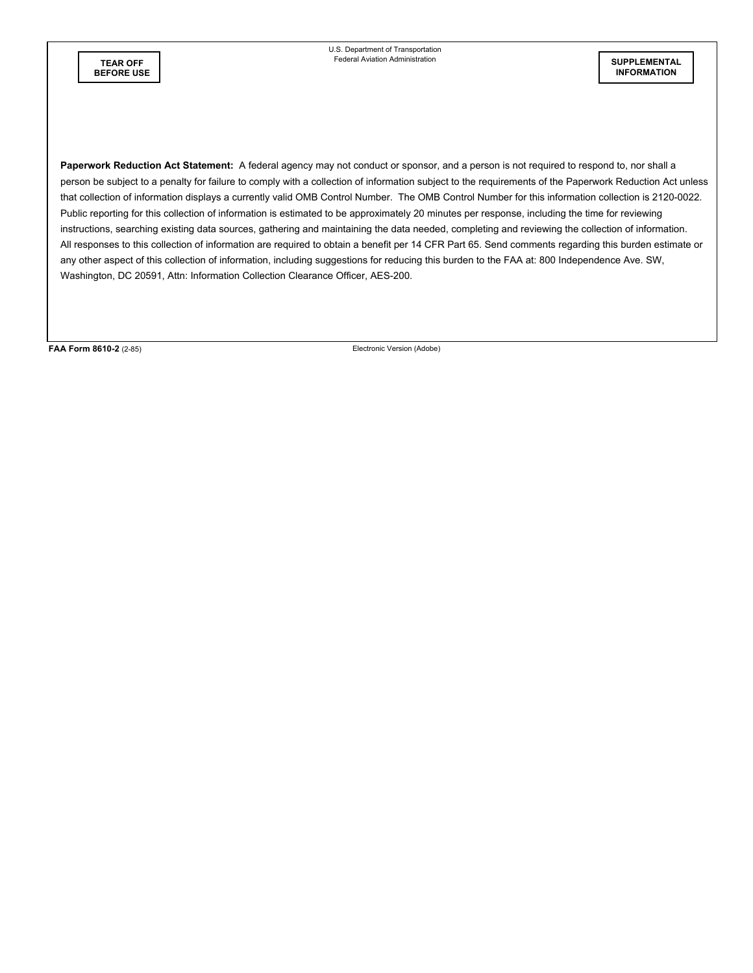U.S. Department of Transportation Federal Aviation Administration **TEAR OFF** 

**Paperwork Reduction Act Statement:** A federal agency may not conduct or sponsor, and a person is not required to respond to, nor shall a person be subject to a penalty for failure to comply with a collection of information subject to the requirements of the Paperwork Reduction Act unless that collection of information displays a currently valid OMB Control Number. The OMB Control Number for this information collection is 2120-0022. Public reporting for this collection of information is estimated to be approximately 20 minutes per response, including the time for reviewing instructions, searching existing data sources, gathering and maintaining the data needed, completing and reviewing the collection of information. All responses to this collection of information are required to obtain a benefit per 14 CFR Part 65. Send comments regarding this burden estimate or any other aspect of this collection of information, including suggestions for reducing this burden to the FAA at: 800 Independence Ave. SW, Washington, DC 20591, Attn: Information Collection Clearance Officer, AES-200.

FAA Form 8610-2 (2-85) **FAA Form 8610-2** (2-85)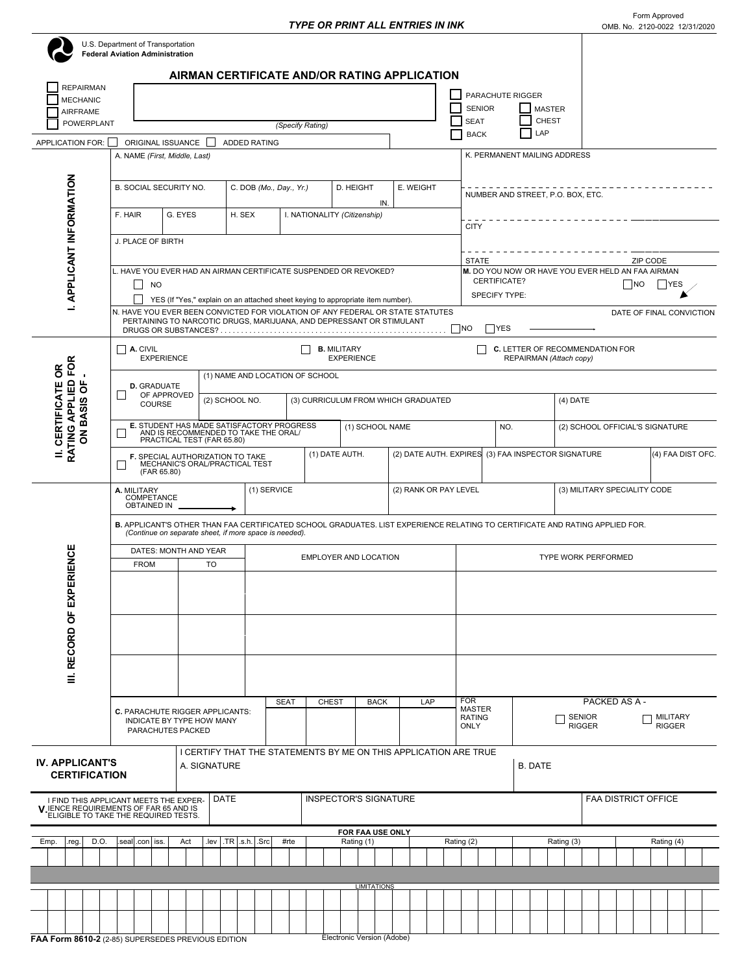┱

|                                                                                                                         | <b>Federal Aviation Administration</b>                                                                                                                                                 | U.S. Department of Transportation                                                        | AIRMAN CERTIFICATE AND/OR RATING APPLICATION                                                                                                                                                                                                                                                                  |                                                          |                                         |                                                                                                                                                                   |                                                      |                                                    |               |                                                 |                            |                                  |  |  |  |
|-------------------------------------------------------------------------------------------------------------------------|----------------------------------------------------------------------------------------------------------------------------------------------------------------------------------------|------------------------------------------------------------------------------------------|---------------------------------------------------------------------------------------------------------------------------------------------------------------------------------------------------------------------------------------------------------------------------------------------------------------|----------------------------------------------------------|-----------------------------------------|-------------------------------------------------------------------------------------------------------------------------------------------------------------------|------------------------------------------------------|----------------------------------------------------|---------------|-------------------------------------------------|----------------------------|----------------------------------|--|--|--|
| <b>REPAIRMAN</b><br><b>MECHANIC</b><br>AIRFRAME                                                                         |                                                                                                                                                                                        |                                                                                          |                                                                                                                                                                                                                                                                                                               |                                                          |                                         |                                                                                                                                                                   | <b>SENIOR</b>                                        | PARACHUTE RIGGER                                   | <b>MASTER</b> |                                                 |                            |                                  |  |  |  |
| <b>POWERPLANT</b>                                                                                                       |                                                                                                                                                                                        |                                                                                          |                                                                                                                                                                                                                                                                                                               | (Specify Rating)                                         |                                         |                                                                                                                                                                   | <b>SEAT</b><br><b>BACK</b>                           | LAP                                                | <b>CHEST</b>  |                                                 |                            |                                  |  |  |  |
| APPLICATION FOR:                                                                                                        |                                                                                                                                                                                        | ORIGINAL ISSUANCE<br>A. NAME (First, Middle, Last)                                       | <b>ADDED RATING</b>                                                                                                                                                                                                                                                                                           |                                                          |                                         | K. PERMANENT MAILING ADDRESS                                                                                                                                      |                                                      |                                                    |               |                                                 |                            |                                  |  |  |  |
|                                                                                                                         |                                                                                                                                                                                        | <b>B. SOCIAL SECURITY NO.</b>                                                            |                                                                                                                                                                                                                                                                                                               | C. DOB (Mo., Day., Yr.)<br>D. HEIGHT<br>E. WEIGHT<br>IN. |                                         |                                                                                                                                                                   |                                                      | NUMBER AND STREET, P.O. BOX, ETC.                  |               |                                                 |                            |                                  |  |  |  |
|                                                                                                                         | F. HAIR                                                                                                                                                                                | G. EYES                                                                                  | H. SEX                                                                                                                                                                                                                                                                                                        |                                                          | I. NATIONALITY (Citizenship)            |                                                                                                                                                                   | <b>CITY</b>                                          |                                                    |               |                                                 |                            |                                  |  |  |  |
|                                                                                                                         | J. PLACE OF BIRTH                                                                                                                                                                      |                                                                                          |                                                                                                                                                                                                                                                                                                               |                                                          |                                         | <b>STATE</b><br>ZIP CODE                                                                                                                                          |                                                      |                                                    |               |                                                 |                            |                                  |  |  |  |
| <b>I. APPLICANT INFORMATION</b>                                                                                         | <b>NO</b>                                                                                                                                                                              |                                                                                          | L. HAVE YOU EVER HAD AN AIRMAN CERTIFICATE SUSPENDED OR REVOKED?<br>YES (If "Yes," explain on an attached sheet keying to appropriate item number).<br>N. HAVE YOU EVER BEEN CONVICTED FOR VIOLATION OF ANY FEDERAL OR STATE STATUTES<br>PERTAINING TO NARCOTIC DRUGS, MARIJUANA, AND DEPRESSANT OR STIMULANT |                                                          |                                         | M. DO YOU NOW OR HAVE YOU EVER HELD AN FAA AIRMAN<br>CERTIFICATE?<br>  NO<br>  YES<br><b>SPECIFY TYPE:</b><br>DATE OF FINAL CONVICTION<br><b>NO</b><br><b>YES</b> |                                                      |                                                    |               |                                                 |                            |                                  |  |  |  |
|                                                                                                                         | $\mathsf{I}$<br>A. CIVIL                                                                                                                                                               |                                                                                          |                                                                                                                                                                                                                                                                                                               |                                                          | <b>B.</b> MILITARY<br><b>EXPERIENCE</b> |                                                                                                                                                                   |                                                      | <b>C.</b> LETTER OF RECOMMENDATION FOR             |               |                                                 |                            |                                  |  |  |  |
| δR                                                                                                                      |                                                                                                                                                                                        | <b>EXPERIENCE</b>                                                                        | (1) NAME AND LOCATION OF SCHOOL                                                                                                                                                                                                                                                                               |                                                          |                                         |                                                                                                                                                                   |                                                      | REPAIRMAN (Attach copy)                            |               |                                                 |                            |                                  |  |  |  |
| RATING APPLIED FOR<br>ON BASIS OF<br>II. CERTIFICATE                                                                    | <b>D.</b> GRADUATE                                                                                                                                                                     | OF APPROVED<br><b>COURSE</b>                                                             | (2) SCHOOL NO.                                                                                                                                                                                                                                                                                                |                                                          | (3) CURRICULUM FROM WHICH GRADUATED     |                                                                                                                                                                   |                                                      | $(4)$ DATE                                         |               |                                                 |                            |                                  |  |  |  |
|                                                                                                                         |                                                                                                                                                                                        | PRACTICAL TEST (FAR 65.80)                                                               | E. STUDENT HAS MADE SATISFACTORY PROGRESS<br>AND IS RECOMMENDED TO TAKE THE ORAL                                                                                                                                                                                                                              |                                                          | (1) SCHOOL NAME                         |                                                                                                                                                                   |                                                      | NO.                                                |               |                                                 |                            | (2) SCHOOL OFFICIAL'S SIGNATURE  |  |  |  |
|                                                                                                                         |                                                                                                                                                                                        | F. SPECIAL AUTHORIZATION TO TAKE<br>(FAR 65.80)                                          | MECHANIC'S ORAL/PRACTICAL TEST                                                                                                                                                                                                                                                                                | (1) DATE AUTH.                                           |                                         |                                                                                                                                                                   |                                                      | (2) DATE AUTH. EXPIRES (3) FAA INSPECTOR SIGNATURE |               |                                                 |                            | (4) FAA DIST OFC.                |  |  |  |
|                                                                                                                         | (1) SERVICE<br>(2) RANK OR PAY LEVEL<br>A. MILITARY<br>COMPETANCE<br><b>OBTAINED IN</b>                                                                                                |                                                                                          |                                                                                                                                                                                                                                                                                                               |                                                          |                                         |                                                                                                                                                                   |                                                      |                                                    |               | (3) MILITARY SPECIALITY CODE                    |                            |                                  |  |  |  |
|                                                                                                                         | B. APPLICANT'S OTHER THAN FAA CERTIFICATED SCHOOL GRADUATES. LIST EXPERIENCE RELATING TO CERTIFICATE AND RATING APPLIED FOR.<br>(Continue on separate sheet, if more space is needed). |                                                                                          |                                                                                                                                                                                                                                                                                                               |                                                          |                                         |                                                                                                                                                                   |                                                      |                                                    |               |                                                 |                            |                                  |  |  |  |
| PERIENCE                                                                                                                | <b>FROM</b>                                                                                                                                                                            | DATES: MONTH AND YEAR<br><b>TO</b>                                                       |                                                                                                                                                                                                                                                                                                               |                                                          | EMPLOYER AND LOCATION                   |                                                                                                                                                                   | TYPE WORK PERFORMED                                  |                                                    |               |                                                 |                            |                                  |  |  |  |
| III. RECORD OF EX                                                                                                       |                                                                                                                                                                                        |                                                                                          |                                                                                                                                                                                                                                                                                                               |                                                          |                                         |                                                                                                                                                                   |                                                      |                                                    |               |                                                 |                            |                                  |  |  |  |
|                                                                                                                         |                                                                                                                                                                                        |                                                                                          |                                                                                                                                                                                                                                                                                                               |                                                          |                                         |                                                                                                                                                                   |                                                      |                                                    |               |                                                 |                            |                                  |  |  |  |
|                                                                                                                         |                                                                                                                                                                                        | C. PARACHUTE RIGGER APPLICANTS:<br><b>INDICATE BY TYPE HOW MANY</b><br>PARACHUTES PACKED |                                                                                                                                                                                                                                                                                                               | <b>SEAT</b>                                              | <b>CHEST</b><br><b>BACK</b>             | LAP                                                                                                                                                               | <b>FOR</b><br><b>MASTER</b><br><b>RATING</b><br>ONLY |                                                    |               | PACKED AS A -<br><b>SENIOR</b><br><b>RIGGER</b> |                            | <b>MILITARY</b><br><b>RIGGER</b> |  |  |  |
| <b>IV. APPLICANT'S</b><br><b>CERTIFICATION</b>                                                                          |                                                                                                                                                                                        | A. SIGNATURE                                                                             | I CERTIFY THAT THE STATEMENTS BY ME ON THIS APPLICATION ARE TRUE                                                                                                                                                                                                                                              |                                                          |                                         |                                                                                                                                                                   |                                                      | <b>B. DATE</b>                                     |               |                                                 |                            |                                  |  |  |  |
| I FIND THIS APPLICANT MEETS THE EXPER-<br>V IENCE REQUIREMENTS OF FAR 65 AND IS<br>ELIGIBLE TO TAKE THE REQUIRED TESTS. |                                                                                                                                                                                        |                                                                                          | DATE                                                                                                                                                                                                                                                                                                          |                                                          | <b>INSPECTOR'S SIGNATURE</b>            |                                                                                                                                                                   |                                                      |                                                    |               |                                                 | <b>FAA DISTRICT OFFICE</b> |                                  |  |  |  |
| D.O.<br>Emp.<br>.reg.                                                                                                   | FOR FAA USE ONLY<br>.lev TR .s.h. Src<br>#rte<br>seal .con iss.<br>Act<br>Rating (1)                                                                                                   |                                                                                          |                                                                                                                                                                                                                                                                                                               |                                                          |                                         |                                                                                                                                                                   |                                                      |                                                    | Rating (3)    |                                                 |                            | Rating (4)                       |  |  |  |
|                                                                                                                         |                                                                                                                                                                                        |                                                                                          |                                                                                                                                                                                                                                                                                                               |                                                          |                                         |                                                                                                                                                                   | Rating (2)                                           |                                                    |               |                                                 |                            |                                  |  |  |  |
|                                                                                                                         |                                                                                                                                                                                        |                                                                                          |                                                                                                                                                                                                                                                                                                               |                                                          | <b>LIMITATIONS</b>                      |                                                                                                                                                                   |                                                      |                                                    |               |                                                 |                            |                                  |  |  |  |
|                                                                                                                         |                                                                                                                                                                                        | FAA Form 8610-2 (2-85) SUPERSEDES PREVIOUS EDITION                                       |                                                                                                                                                                                                                                                                                                               |                                                          | Electronic Version (Adobe)              |                                                                                                                                                                   |                                                      |                                                    |               |                                                 |                            |                                  |  |  |  |